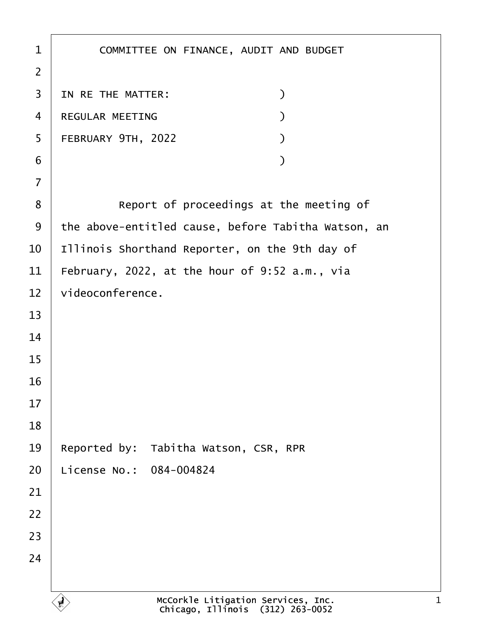| $\mathbf 1$    | COMMITTEE ON FINANCE, AUDIT AND BUDGET                                 |
|----------------|------------------------------------------------------------------------|
| $\overline{2}$ |                                                                        |
| 3              | $\mathcal{C}$<br>IN RE THE MATTER:                                     |
| 4              | REGULAR MEETING<br>$\mathcal{C}$                                       |
| 5              | FEBRUARY 9TH, 2022                                                     |
| 6              | $\mathcal{C}$                                                          |
| $\overline{7}$ |                                                                        |
| 8              | Report of proceedings at the meeting of                                |
| 9              | the above-entitled cause, before Tabitha Watson, an                    |
| 10             | Illinois Shorthand Reporter, on the 9th day of                         |
| 11             | February, 2022, at the hour of 9:52 a.m., via                          |
| 12             | videoconference.                                                       |
| 13             |                                                                        |
| 14             |                                                                        |
| 15             |                                                                        |
| 16             |                                                                        |
| 17             |                                                                        |
| 18             |                                                                        |
| 19             | Reported by: Tabitha Watson, CSR, RPR                                  |
| 20             | License No.: 084-004824                                                |
| 21             |                                                                        |
| 22             |                                                                        |
| 23             |                                                                        |
| 24             |                                                                        |
|                |                                                                        |
|                | McCorkle Litigation Services, Inc.<br>Chicago, Illinois (312) 263-0052 |

Г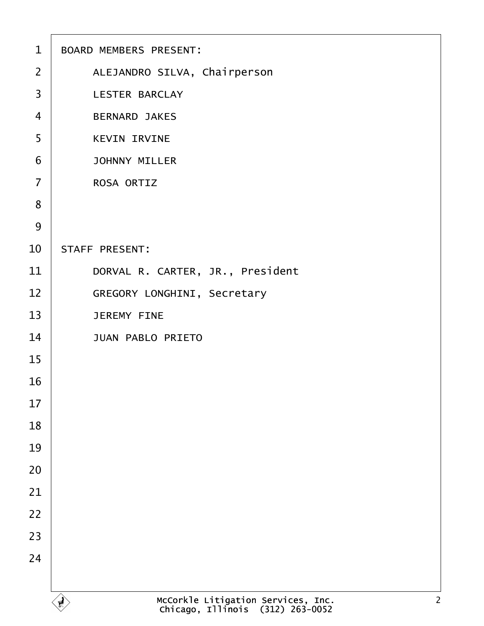| $\mathbf{1}$            | BOARD MEMBERS PRESENT:                                                                   |
|-------------------------|------------------------------------------------------------------------------------------|
| $\overline{2}$          | ALEJANDRO SILVA, Chairperson                                                             |
| $\overline{\mathbf{3}}$ | LESTER BARCLAY                                                                           |
| $\overline{4}$          | <b>BERNARD JAKES</b>                                                                     |
| 5                       | <b>KEVIN IRVINE</b>                                                                      |
| 6                       | <b>JOHNNY MILLER</b>                                                                     |
| $\overline{7}$          | ROSA ORTIZ                                                                               |
| 8                       |                                                                                          |
| 9                       |                                                                                          |
| 10                      | STAFF PRESENT:                                                                           |
| 11                      | DORVAL R. CARTER, JR., President                                                         |
| 12                      | GREGORY LONGHINI, Secretary                                                              |
| 13                      | <b>JEREMY FINE</b>                                                                       |
| 14                      | <b>JUAN PABLO PRIETO</b>                                                                 |
| 15                      |                                                                                          |
| 16                      |                                                                                          |
| 17                      |                                                                                          |
| 18                      |                                                                                          |
| 19                      |                                                                                          |
| 20                      |                                                                                          |
| 21                      |                                                                                          |
| 22                      |                                                                                          |
| 23                      |                                                                                          |
| 24                      |                                                                                          |
|                         |                                                                                          |
|                         | McCorkle Litigation Services, Inc.<br>Chicago, Illinois (312) 263-0052<br>$\overline{2}$ |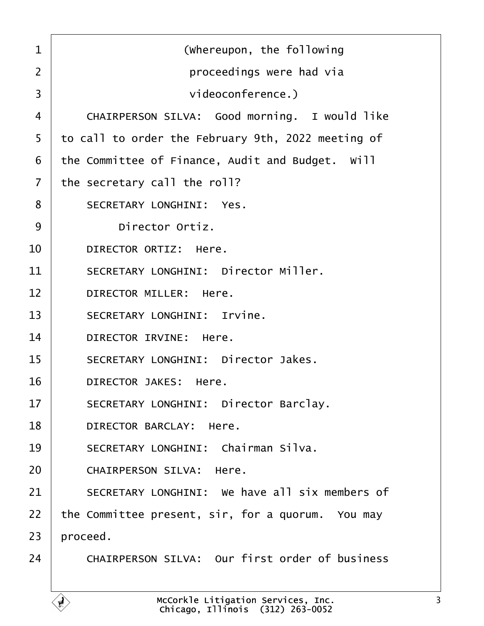<span id="page-2-0"></span>

| $\mathbf{1}$   | (whereupon, the following                          |
|----------------|----------------------------------------------------|
| $\overline{2}$ | proceedings were had via                           |
| 3              | videoconference.)                                  |
| $\overline{4}$ | CHAIRPERSON SILVA: Good morning. I would like      |
| 5              | to call to order the February 9th, 2022 meeting of |
| 6              | the Committee of Finance, Audit and Budget. Will   |
| $\overline{7}$ | the secretary call the roll?                       |
| 8              | SECRETARY LONGHINI: Yes.                           |
| 9              | Director Ortiz.                                    |
| 10             | DIRECTOR ORTIZ: Here.                              |
| 11             | SECRETARY LONGHINI: Director Miller.               |
| 12             | DIRECTOR MILLER: Here.                             |
| 13             | SECRETARY LONGHINI: Irvine.                        |
| 14             | DIRECTOR IRVINE: Here.                             |
| 15             | SECRETARY LONGHINI: Director Jakes.                |
| 16             | DIRECTOR JAKES: Here.                              |
| 17             | SECRETARY LONGHINI: Director Barclay.              |
| 18             | DIRECTOR BARCLAY: Here.                            |
| 19             | SECRETARY LONGHINI: Chairman Silva.                |
| 20             | CHAIRPERSON SILVA: Here.                           |
| 21             | SECRETARY LONGHINI: We have all six members of     |
| 22             | the Committee present, sir, for a quorum. You may  |
| 23             | proceed.                                           |
| 24             | CHAIRPERSON SILVA: Our first order of business     |
|                |                                                    |

Ē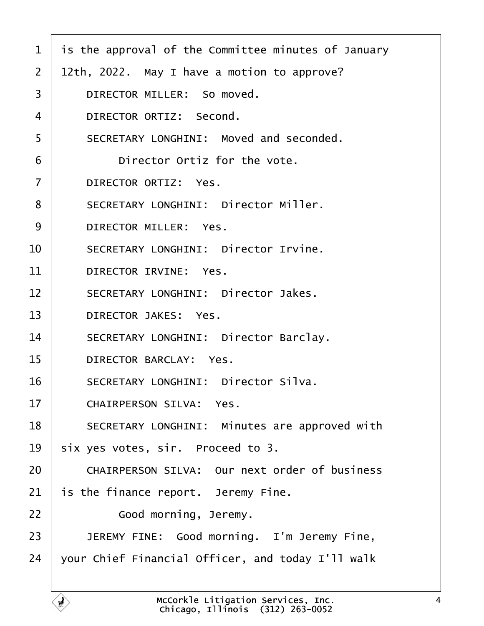<span id="page-3-0"></span>

| $\mathbf{1}$   | is the approval of the Committee minutes of January                    |
|----------------|------------------------------------------------------------------------|
| $\overline{2}$ | 12th, 2022. May I have a motion to approve?                            |
| 3              | DIRECTOR MILLER: So moved.                                             |
| 4              | DIRECTOR ORTIZ: Second.                                                |
| 5              | SECRETARY LONGHINI: Moved and seconded.                                |
| 6              | Director Ortiz for the vote.                                           |
| $\overline{7}$ | DIRECTOR ORTIZ: Yes.                                                   |
| 8              | SECRETARY LONGHINI: Director Miller.                                   |
| 9              | DIRECTOR MILLER: Yes.                                                  |
| 10             | SECRETARY LONGHINI: Director Irvine.                                   |
| 11             | DIRECTOR IRVINE: Yes.                                                  |
| 12             | SECRETARY LONGHINI: Director Jakes.                                    |
| 13             | DIRECTOR JAKES: Yes.                                                   |
| 14             | SECRETARY LONGHINI: Director Barclay.                                  |
| 15             | DIRECTOR BARCLAY: Yes.                                                 |
| 16             | SECRETARY LONGHINI: Director Silva.                                    |
| 17             | CHAIRPERSON SILVA: Yes.                                                |
| 18             | SECRETARY LONGHINI: Minutes are approved with                          |
| 19             | six yes votes, sir. Proceed to 3.                                      |
| 20             | CHAIRPERSON SILVA: Our next order of business                          |
| 21             | is the finance report. Jeremy Fine.                                    |
| 22             | Good morning, Jeremy.                                                  |
| 23             | JEREMY FINE: Good morning. I'm Jeremy Fine,                            |
| 24             | your Chief Financial Officer, and today I'll walk                      |
|                |                                                                        |
|                | McCorkle Litigation Services, Inc.<br>Chicago, Illinois (312) 263-0052 |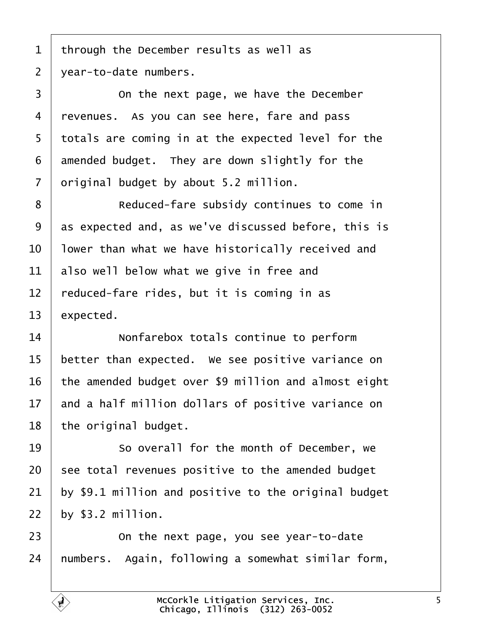<span id="page-4-0"></span>1 | through the December results as well as | year-to-date numbers.

**On the next page, we have the December** 4 | revenues. As you can see here, fare and pass 5 | totals are coming in at the expected level for the amended budget. They are down slightly for the original budget by about 5.2 million.

8 | Reduced-fare subsidy continues to come in 9 as expected and, as we've discussed before, this is  $\vert$  lower than what we have historically received and also well below what we give in free and  $\vert$  reduced-fare rides, but it is coming in as expected.

**I** *Nonfarebox totals continue to perform*  | better than expected. We see positive variance on the amended budget over \$9 million and almost eight and a half million dollars of positive variance on | the original budget.

19 So overall for the month of December, we see total revenues positive to the amended budget by \$9.1 million and positive to the original budget  $\vert$  by \$3.2 million.

**I On the next page, you see year-to-date** | numbers. Again, following a somewhat similar form,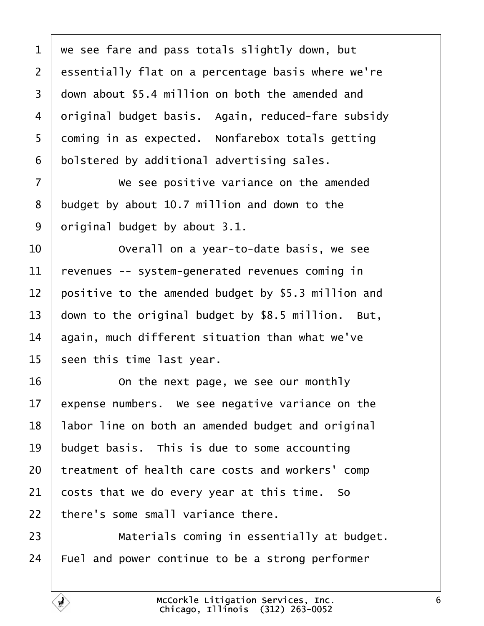<span id="page-5-0"></span> we see fare and pass totals slightly down, but 2 essentially flat on a percentage basis where we're 3 | down about \$5.4 million on both the amended and 4 | original budget basis. Again, reduced-fare subsidy coming in as expected. Nonfarebox totals getting bolstered by additional advertising sales.

**We see positive variance on the amended**  budget by about 10.7 million and down to the original budget by about 3.1.

**I** *Overall on a year-to-date basis, we see*  revenues -- system-generated revenues coming in 12 positive to the amended budget by \$5.3 million and  $\vert$  down to the original budget by \$8.5 million. But, again, much different situation than what we've seen this time last year.

16 | Con the next page, we see our monthly expense numbers. We see negative variance on the | labor line on both an amended budget and original budget basis. This is due to some accounting | treatment of health care costs and workers' comp costs that we do every year at this time. So  $\pm$  there's some small variance there.

23 | Materials coming in essentially at budget. Fuel and power continue to be a strong performer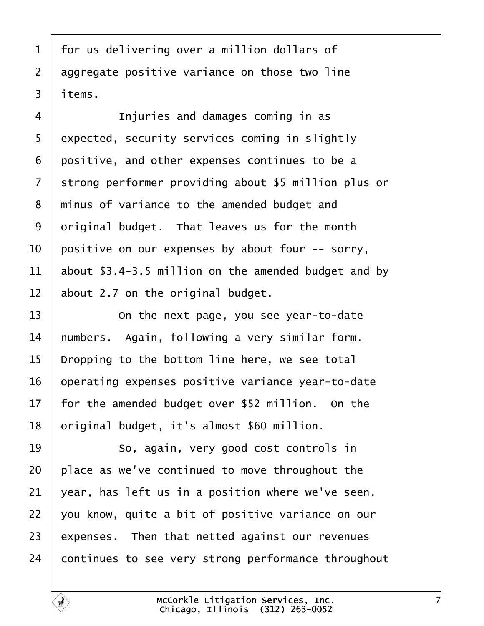<span id="page-6-0"></span>1 | for us delivering over a million dollars of 2 | aggregate positive variance on those two line items.

**Injuries and damages coming in as** 5 expected, security services coming in slightly positive, and other expenses continues to be a 7 Strong performer providing about \$5 million plus or  $\mid$  minus of variance to the amended budget and original budget. That leaves us for the month | positive on our expenses by about four -- sorry,  $\vert$  about \$3.4-3.5 million on the amended budget and by about 2.7 on the original budget.

**13** On the next page, you see year-to-date | numbers. Again, following a very similar form. | Dropping to the bottom line here, we see total | operating expenses positive variance year-to-date | for the amended budget over \$52 million. On the 18 | original budget, it's almost \$60 million.

**8** · · · · So, again, very good cost controls in | place as we've continued to move throughout the vear, has left us in a position where we've seen,  $\mid$  you know, quite a bit of positive variance on our expenses. Then that netted against our revenues continues to see very strong performance throughout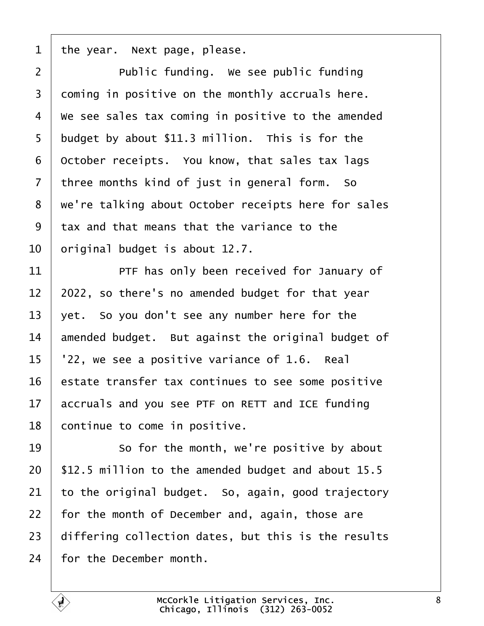<span id="page-7-0"></span>the year. Next page, please.

**Public funding.** We see public funding coming in positive on the monthly accruals here.  $4 \mid$  We see sales tax coming in positive to the amended budget by about \$11.3 million. This is for the october receipts. You know, that sales tax lags three months kind of just in general form. So 8 | we're talking about October receipts here for sales tax and that means that the variance to the original budget is about 12.7.

11· · · · · · PTF has only been received for January of | 2022, so there's no amended budget for that year | yet. So you don't see any number here for the  $\parallel$  amended budget. But against the original budget of  $\mid$   $'22$ , we see a positive variance of 1.6. Real estate transfer tax continues to see some positive accruals and you see PTF on RETT and ICE funding continue to come in positive.

**So for the month, we're positive by about**  | \$12.5 million to the amended budget and about 15.5  $\vert$  to the original budget. So, again, good trajectory for the month of December and, again, those are differing collection dates, but this is the results for the December month.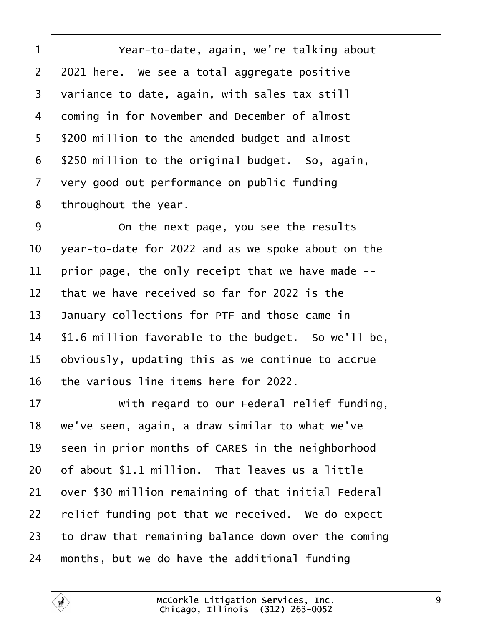<span id="page-8-0"></span>·1· · · · · · Year-to-date, again, we're talking about | 2021 here. We see a total aggregate positive variance to date, again, with sales tax still 4 | coming in for November and December of almost 5 | \$200 million to the amended budget and almost | \$250 million to the original budget. So, again,  $\vert$  very good out performance on public funding | throughout the year.

9 | Con the next page, you see the results | year-to-date for 2022 and as we spoke about on the 11 | prior page, the only receipt that we have made  $-$ -  $\parallel$  that we have received so far for 2022 is the 13 January collections for PTF and those came in | \$1.6 million favorable to the budget. So we'll be, obviously, updating this as we continue to accrue the various line items here for 2022.

17 With regard to our Federal relief funding,  $\mid$  we've seen, again, a draw similar to what we've seen in prior months of CARES in the neighborhood  $\vert$  of about \$1.1 million. That leaves us a little  $\vert$  over \$30 million remaining of that initial Federal | relief funding pot that we received. We do expect  $\vert$  to draw that remaining balance down over the coming months, but we do have the additional funding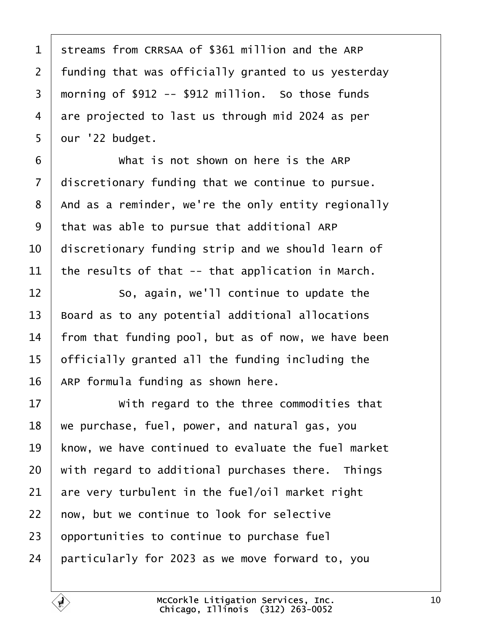<span id="page-9-0"></span>1 | streams from CRRSAA of \$361 million and the ARP | funding that was officially granted to us yesterday  $\mid$  morning of \$912 -- \$912 million. So those funds are projected to last us through mid 2024 as per | our '22 budget.

**What is not shown on here is the ARP**  discretionary funding that we continue to pursue.  $\mid$  And as a reminder, we're the only entity regionally that was able to pursue that additional ARP  $\vert$  discretionary funding strip and we should learn of 11 the results of that  $-$  that application in March.

 So, again, we'll continue to update the Board as to any potential additional allocations | from that funding pool, but as of now, we have been officially granted all the funding including the  $\parallel$  ARP formula funding as shown here.

**With regard to the three commodities that**  we purchase, fuel, power, and natural gas, you 19 | know, we have continued to evaluate the fuel market with regard to additional purchases there. Things are very turbulent in the fuel/oil market right  $\mid$  now, but we continue to look for selective opportunities to continue to purchase fuel | particularly for 2023 as we move forward to, you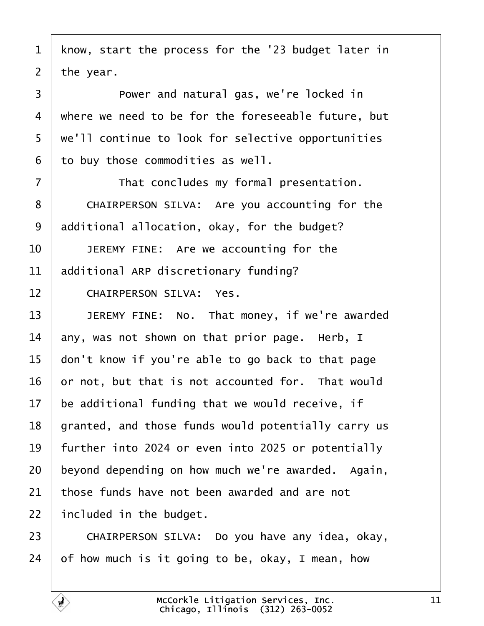<span id="page-10-0"></span>1 | know, start the process for the '23 budget later in the year. **D Power and natural gas, we're locked in** 4 | where we need to be for the foreseeable future, but 5 | we'll continue to look for selective opportunities to buy those commodities as well. **That concludes my formal presentation.** 8 CHAIRPERSON SILVA: Are you accounting for the additional allocation, okay, for the budget? **JEREMY FINE:** Are we accounting for the additional ARP discretionary funding? 12 CHAIRPERSON SILVA: Yes. 13 JEREMY FINE: No. That money, if we're awarded  $\parallel$  any, was not shown on that prior page. Herb, I  $\parallel$  don't know if you're able to go back to that page or not, but that is not accounted for. That would be additional funding that we would receive, if | granted, and those funds would potentially carry us  $\vert$  further into 2024 or even into 2025 or potentially beyond depending on how much we're awarded. Again, those funds have not been awarded and are not | included in the budget.

23 CHAIRPERSON SILVA: Do you have any idea, okay, of how much is it going to be, okay, I mean, how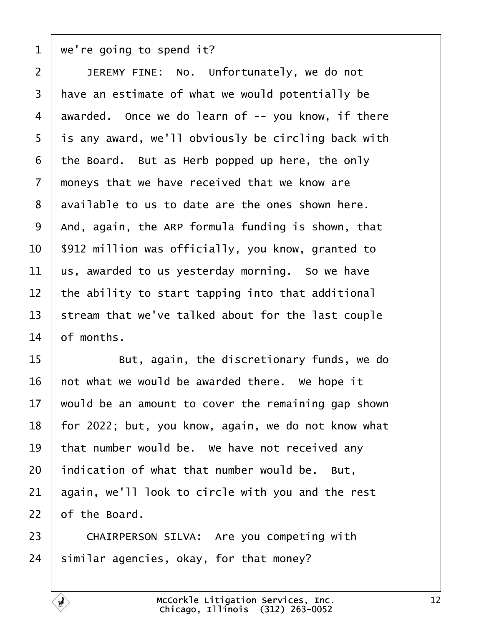<span id="page-11-0"></span> $1 \mid$  we're going to spend it?

**JEREMY FINE:** No. Unfortunately, we do not  $\mid$  have an estimate of what we would potentially be awarded. Once we do learn of  $-$ - you know, if there is any award, we'll obviously be circling back with the Board. But as Herb popped up here, the only  $\mid$  moneys that we have received that we know are available to us to date are the ones shown here. | And, again, the ARP formula funding is shown, that | \$912 million was officially, you know, granted to  $\vert$  us, awarded to us yesterday morning. So we have the ability to start tapping into that additional 13 | stream that we've talked about for the last couple of months.

15· · · · · · But, again, the discretionary funds, we do not what we would be awarded there. We hope it would be an amount to cover the remaining gap shown 18 | for 2022; but, you know, again, we do not know what that number would be. We have not received any indication of what that number would be. But. again, we'll look to circle with you and the rest of the Board.

23 CHAIRPERSON SILVA: Are you competing with similar agencies, okay, for that money?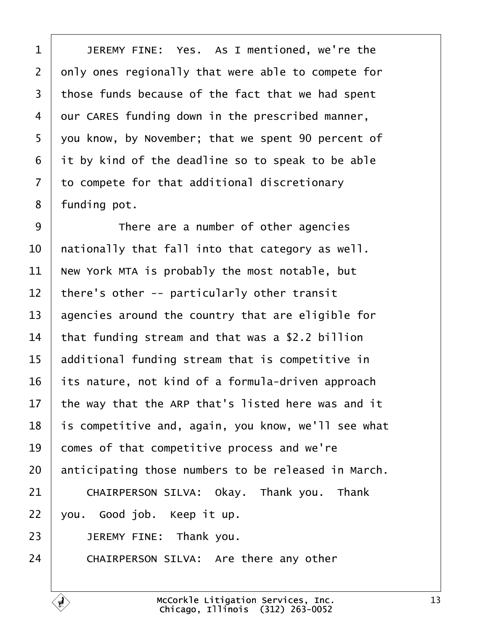<span id="page-12-0"></span>1 JEREMY FINE: Yes. As I mentioned, we're the  $\vert$  only ones regionally that were able to compete for those funds because of the fact that we had spent our CARES funding down in the prescribed manner, 5 | you know, by November; that we spent 90 percent of it by kind of the deadline so to speak to be able to compete for that additional discretionary 8 | funding pot.

**I** There are a number of other agencies  $\parallel$  <code>nationally</code> that fall into that category as <code>well.</code> New York MTA is probably the most notable, but  $\parallel$  there's other -- particularly other transit agencies around the country that are eligible for that funding stream and that was a \$2.2 billion additional funding stream that is competitive in its nature, not kind of a formula-driven approach  $\vert$  the way that the ARP that's listed here was and it | is competitive and, again, you know, we'll see what comes of that competitive process and we're anticipating those numbers to be released in March. 21 CHAIRPERSON SILVA: Okay. Thank you. Thank | you. Good job. Keep it up. **JEREMY FINE:** Thank you. 24 CHAIRPERSON SILVA: Are there any other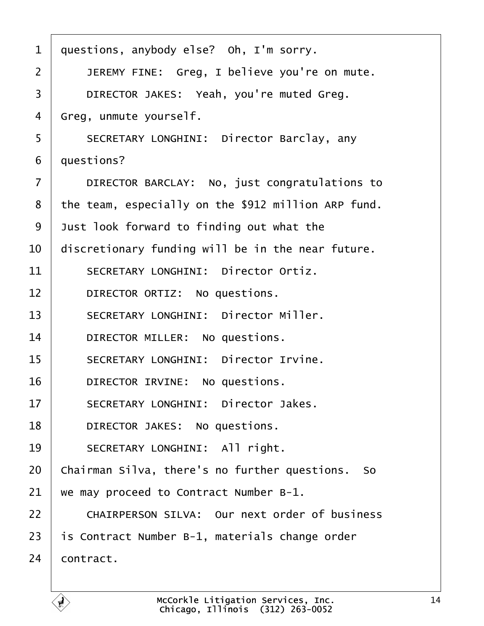<span id="page-13-0"></span>

| $\mathbf{1}$   | questions, anybody else? Oh, I'm sorry.             |
|----------------|-----------------------------------------------------|
| $\overline{2}$ | JEREMY FINE: Greg, I believe you're on mute.        |
| 3              | DIRECTOR JAKES: Yeah, you're muted Greg.            |
| 4              | Greg, unmute yourself.                              |
| 5              | SECRETARY LONGHINI: Director Barclay, any           |
| 6              | questions?                                          |
| $\overline{7}$ | DIRECTOR BARCLAY: No, just congratulations to       |
| 8              | the team, especially on the \$912 million ARP fund. |
| 9              | Just look forward to finding out what the           |
| 10             | discretionary funding will be in the near future.   |
| 11             | SECRETARY LONGHINI: Director Ortiz.                 |
| 12             | DIRECTOR ORTIZ: No questions.                       |
| 13             | SECRETARY LONGHINI: Director Miller.                |
| 14             | DIRECTOR MILLER: No questions.                      |
| 15             | SECRETARY LONGHINI: Director Irvine.                |
| 16             | DIRECTOR IRVINE: No questions.                      |
| 17             | SECRETARY LONGHINI: Director Jakes.                 |
| 18             | DIRECTOR JAKES: No questions.                       |
| 19             | SECRETARY LONGHINI: All right.                      |
| 20             | Chairman Silva, there's no further questions. So    |
| 21             | we may proceed to Contract Number B-1.              |
| 22             | CHAIRPERSON SILVA: Our next order of business       |
| 23             | is Contract Number B-1, materials change order      |
| 24             | contract.                                           |
|                |                                                     |

É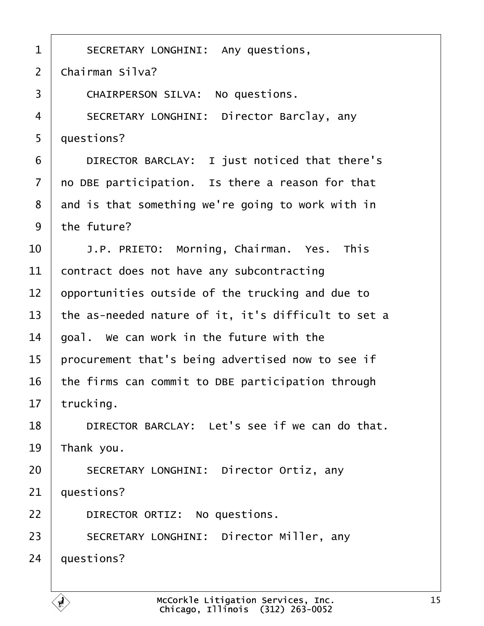<span id="page-14-0"></span>1 SECRETARY LONGHINI: Any questions,  $2 \mid$  Chairman Silva? 3 CHAIRPERSON SILVA: No questions. 4 | SECRETARY LONGHINI: Director Barclay, any  $5 \mid$  questions? 6 **DIRECTOR BARCLAY:** I just noticed that there's  $7$   $\vert$  no DBE participation. Is there a reason for that 8 and is that something we're going to work with in  $9$  the future? 10· · · ·J.P. PRIETO:· Morning, Chairman.· Yes.· This  $11$  contract does not have any subcontracting  $12$  opportunities outside of the trucking and due to 13  $\vert$  the as-needed nature of it, it's difficult to set a  $14$   $\vert$  goal. We can work in the future with the  $15$  | procurement that's being advertised now to see if  $16$  the firms can commit to DBE participation through  $17$  trucking. 18 DIRECTOR BARCLAY: Let's see if we can do that.  $19$  Thank you. 20 SECRETARY LONGHINI: Director Ortiz, any  $21$  auestions? 22 **DIRECTOR ORTIZ:** No questions. 23 SECRETARY LONGHINI: Director Miller, any  $24$  | questions?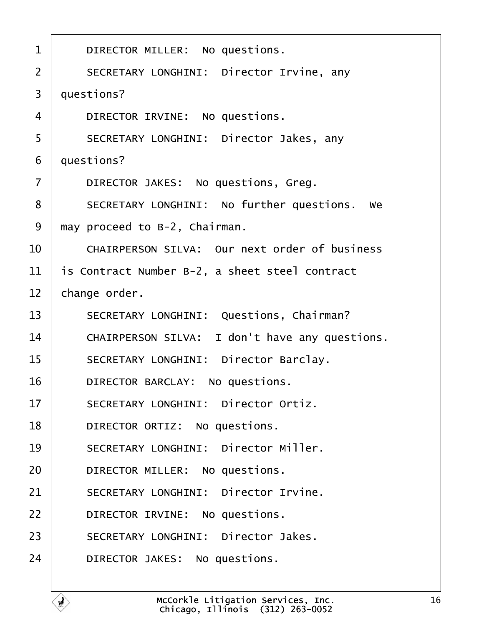<span id="page-15-0"></span>

| $\mathbf{1}$   | DIRECTOR MILLER: No questions.                  |
|----------------|-------------------------------------------------|
| $\overline{2}$ | SECRETARY LONGHINI: Director Irvine, any        |
| 3              | questions?                                      |
| $\overline{4}$ | DIRECTOR IRVINE: No questions.                  |
| 5              | SECRETARY LONGHINI: Director Jakes, any         |
| 6              | questions?                                      |
| $\overline{7}$ | DIRECTOR JAKES: No questions, Greg.             |
| 8              | SECRETARY LONGHINI: No further questions.<br>we |
| 9              | may proceed to B-2, Chairman.                   |
| 10             | CHAIRPERSON SILVA: Our next order of business   |
| 11             | is Contract Number B-2, a sheet steel contract  |
| 12             | change order.                                   |
| 13             | SECRETARY LONGHINI: Questions, Chairman?        |
| 14             | CHAIRPERSON SILVA: I don't have any questions.  |
| 15             | SECRETARY LONGHINI: Director Barclay.           |
| 16             | DIRECTOR BARCLAY: No questions.                 |
| 17             | SECRETARY LONGHINI: Director Ortiz.             |
| 18             | DIRECTOR ORTIZ: No questions.                   |
| 19             | SECRETARY LONGHINI: Director Miller.            |
| 20             | DIRECTOR MILLER: No questions.                  |
| 21             | SECRETARY LONGHINI: Director Irvine.            |
| 22             | DIRECTOR IRVINE: No questions.                  |
| 23             | SECRETARY LONGHINI: Director Jakes.             |
| 24             | DIRECTOR JAKES: No questions.                   |
|                |                                                 |

É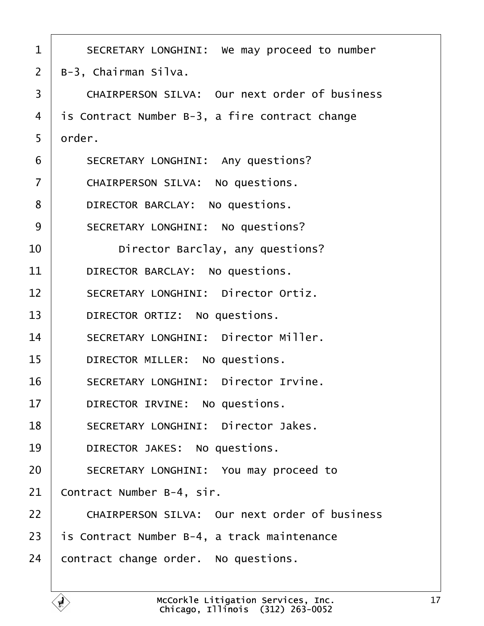<span id="page-16-0"></span>

| $\mathbf 1$    | SECRETARY LONGHINI: We may proceed to number   |
|----------------|------------------------------------------------|
| $\overline{2}$ | B-3, Chairman Silva.                           |
| 3              | CHAIRPERSON SILVA: Our next order of business  |
| 4              | is Contract Number B-3, a fire contract change |
| 5              | order.                                         |
| 6              | SECRETARY LONGHINI: Any questions?             |
| $\overline{7}$ | CHAIRPERSON SILVA: No questions.               |
| 8              | DIRECTOR BARCLAY: No questions.                |
| 9              | SECRETARY LONGHINI: No questions?              |
| 10             | Director Barclay, any questions?               |
| 11             | DIRECTOR BARCLAY: No questions.                |
| 12             | SECRETARY LONGHINI: Director Ortiz.            |
| 13             | DIRECTOR ORTIZ: No questions.                  |
| 14             | SECRETARY LONGHINI: Director Miller.           |
| 15             | DIRECTOR MILLER: No questions.                 |
| 16             | SECRETARY LONGHINI: Director Irvine.           |
| 17             | DIRECTOR IRVINE: No questions.                 |
| 18             | SECRETARY LONGHINI: Director Jakes.            |
| 19             | DIRECTOR JAKES: No questions.                  |
| 20             | SECRETARY LONGHINI: You may proceed to         |
| 21             | Contract Number B-4, sir.                      |
| 22             | CHAIRPERSON SILVA: Our next order of business  |
| 23             | is Contract Number B-4, a track maintenance    |
| 24             | contract change order. No questions.           |
|                |                                                |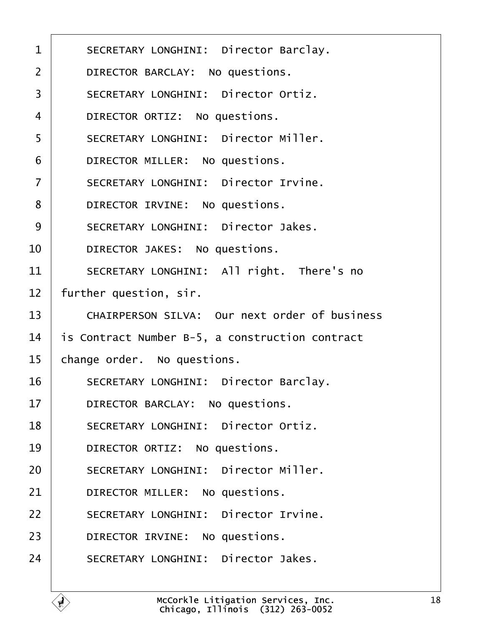<span id="page-17-0"></span>

| $\mathbf{1}$   | SECRETARY LONGHINI: Director Barclay.           |
|----------------|-------------------------------------------------|
| $\overline{2}$ | DIRECTOR BARCLAY: No questions.                 |
| 3              | SECRETARY LONGHINI: Director Ortiz.             |
| 4              | DIRECTOR ORTIZ: No questions.                   |
| 5              | SECRETARY LONGHINI: Director Miller.            |
| 6              | DIRECTOR MILLER: No questions.                  |
| $\overline{7}$ | SECRETARY LONGHINI: Director Irvine.            |
| 8              | DIRECTOR IRVINE: No questions.                  |
| 9              | SECRETARY LONGHINI: Director Jakes.             |
| 10             | DIRECTOR JAKES: No questions.                   |
| 11             | SECRETARY LONGHINI: All right. There's no       |
| 12             | further question, sir.                          |
| 13             | CHAIRPERSON SILVA: Our next order of business   |
| 14             | is Contract Number B-5, a construction contract |
| 15             | change order. No questions.                     |
| 16             | SECRETARY LONGHINI: Director Barclay.           |
| 17             | DIRECTOR BARCLAY: No questions.                 |
| 18             | SECRETARY LONGHINI: Director Ortiz.             |
| 19             | DIRECTOR ORTIZ: No questions.                   |
| 20             | SECRETARY LONGHINI: Director Miller.            |
| 21             | DIRECTOR MILLER: No questions.                  |
| 22             | SECRETARY LONGHINI: Director Irvine.            |
| 23             | DIRECTOR IRVINE: No questions.                  |
| 24             | SECRETARY LONGHINI: Director Jakes.             |
|                |                                                 |

É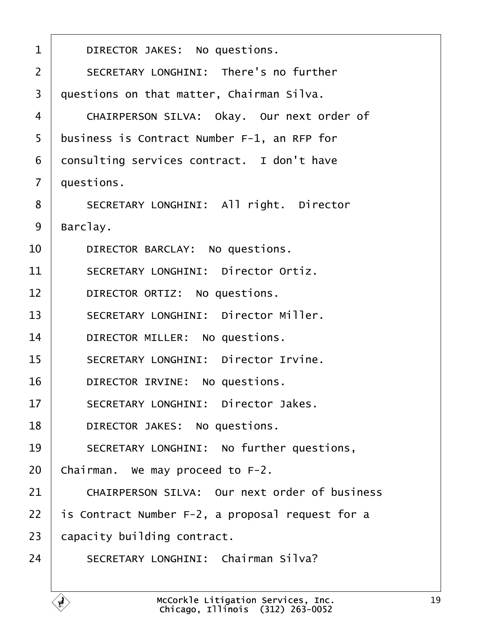<span id="page-18-0"></span>

| $\mathbf{1}$   | DIRECTOR JAKES: No questions.                    |
|----------------|--------------------------------------------------|
| $\overline{2}$ | SECRETARY LONGHINI: There's no further           |
| 3              | questions on that matter, Chairman Silva.        |
| 4              | CHAIRPERSON SILVA: Okay. Our next order of       |
| 5              | business is Contract Number F-1, an RFP for      |
| 6              | consulting services contract. I don't have       |
| $\overline{7}$ | questions.                                       |
| 8              | SECRETARY LONGHINI: All right. Director          |
| 9              | Barclay.                                         |
| 10             | DIRECTOR BARCLAY: No questions.                  |
| 11             | SECRETARY LONGHINI: Director Ortiz.              |
| 12             | DIRECTOR ORTIZ: No questions.                    |
| 13             | SECRETARY LONGHINI: Director Miller.             |
| 14             | DIRECTOR MILLER: No questions.                   |
| 15             | SECRETARY LONGHINI: Director Irvine.             |
| 16             | DIRECTOR IRVINE: No questions.                   |
| 17             | SECRETARY LONGHINI: Director Jakes.              |
| 18             | DIRECTOR JAKES: No questions.                    |
| 19             | SECRETARY LONGHINI: No further questions,        |
| 20             | Chairman. We may proceed to F-2.                 |
| 21             | CHAIRPERSON SILVA: Our next order of business    |
| 22             | is Contract Number F-2, a proposal request for a |
| 23             | capacity building contract.                      |
| 24             | SECRETARY LONGHINI: Chairman Silva?              |
|                |                                                  |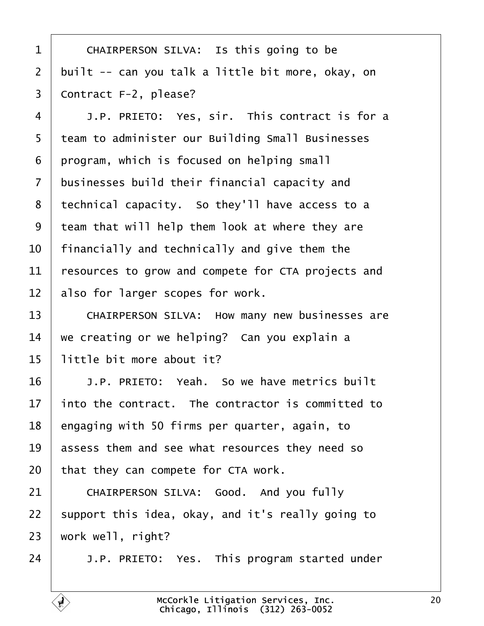<span id="page-19-0"></span>1 | CHAIRPERSON SILVA: Is this going to be 2 | built  $-$  can you talk a little bit more, okay, on 3 | Contract F-2, please?

4 J.P. PRIETO: Yes, sir. This contract is for a 5 | team to administer our Building Small Businesses | program, which is focused on helping small businesses build their financial capacity and 8 | technical capacity. So they'll have access to a team that will help them look at where they are | financially and technically and give them the resources to grow and compete for CTA projects and also for larger scopes for work.

13 CHAIRPERSON SILVA: How many new businesses are  $14$  we creating or we helping? Can you explain a  $15$  | little bit more about it?

16· · · ·J.P. PRIETO:· Yeah.· So we have metrics built into the contract. The contractor is committed to | engaging with 50 firms per quarter, again, to assess them and see what resources they need so that they can compete for CTA work.

 $21$   $\vert$  CHAIRPERSON SILVA: Good. And you fully  $22$  support this idea, okay, and it's really going to  $23$  work well, right?

24 J.P. PRIETO: Yes. This program started under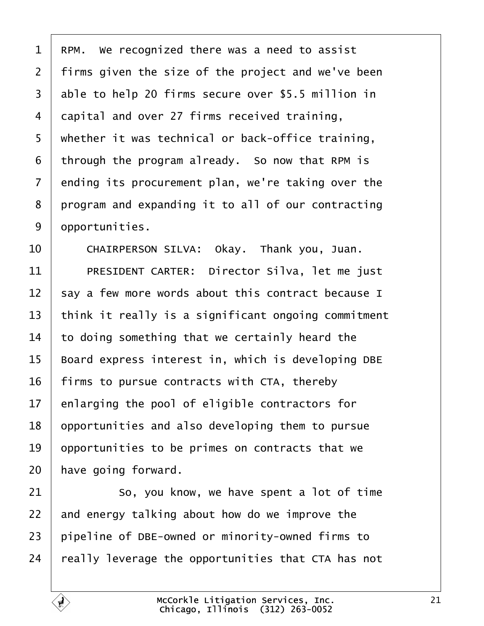<span id="page-20-0"></span> RPM. We recognized there was a need to assist | firms given the size of the project and we've been 3 able to help 20 firms secure over \$5.5 million in 4 capital and over 27 firms received training,  $\mid$  whether it was technical or back-office training, through the program already. So now that RPM is ending its procurement plan, we're taking over the 8 program and expanding it to all of our contracting  $\blacksquare$  opportunities.

10 | CHAIRPERSON SILVA: Okay. Thank you. Juan. 11 PRESIDENT CARTER: Director Silva, let me just say a few more words about this contract because I  $\vert$  think it really is a significant ongoing commitment to doing something that we certainly heard the | Board express interest in, which is developing DBE | firms to pursue contracts with CTA, thereby enlarging the pool of eligible contractors for | opportunities and also developing them to pursue  $\vert$  opportunities to be primes on contracts that we | have going forward.

21 So, you know, we have spent a lot of time and energy talking about how do we improve the pipeline of DBE-owned or minority-owned firms to  $\parallel$  really leverage the opportunities that CTA has not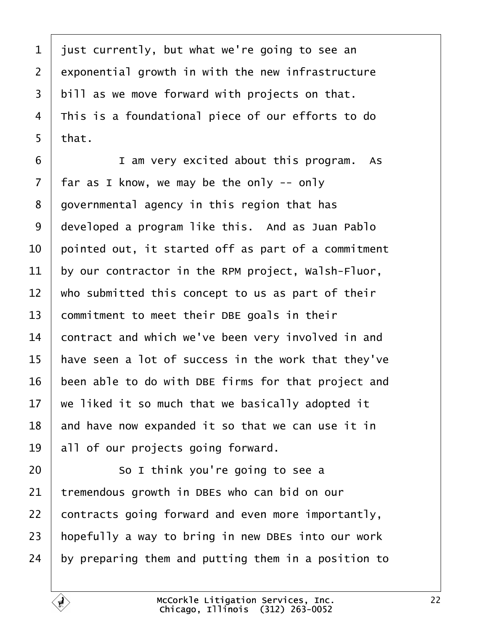<span id="page-21-0"></span> just currently, but what we're going to see an exponential growth in with the new infrastructure | bill as we move forward with projects on that.  $\vert$  This is a foundational piece of our efforts to do | that.

**I** am very excited about this program. As | far as I know, we may be the only -- only  $8 \mid$  governmental agency in this region that has developed a program like this. And as Juan Pablo  $\vert$  pointed out, it started off as part of a commitment by our contractor in the RPM project, Walsh-Fluor, who submitted this concept to us as part of their commitment to meet their DBE goals in their 14 contract and which we've been very involved in and  $\parallel$  have seen a lot of success in the work that they've been able to do with DBE firms for that project and  $\vert$  we liked it so much that we basically adopted it and have now expanded it so that we can use it in | all of our projects going forward.

  $\vert$  50 I think you're going to see a tremendous growth in DBEs who can bid on our contracts going forward and even more importantly, | hopefully a way to bring in new DBEs into our work by preparing them and putting them in a position to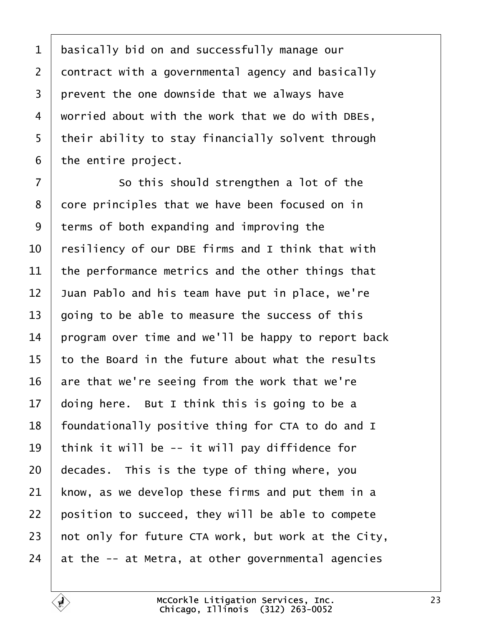<span id="page-22-0"></span> basically bid on and successfully manage our contract with a governmental agency and basically prevent the one downside that we always have worried about with the work that we do with DBEs, | their ability to stay financially solvent through the entire project.

7 So this should strengthen a lot of the 8 core principles that we have been focused on in terms of both expanding and improving the  $\vert$  resiliency of our DBE firms and I think that with  $\parallel$  the performance metrics and the other things that Juan Pablo and his team have put in place, we're going to be able to measure the success of this 14 | program over time and we'll be happy to report back to the Board in the future about what the results are that we're seeing from the work that we're  $\vert$  doing here. But I think this is going to be a | foundationally positive thing for CTA to do and I 19 | think it will be  $-$  it will pay diffidence for decades. This is the type of thing where, you know, as we develop these firms and put them in a position to succeed, they will be able to compete  $\vert$  not only for future CTA work, but work at the City,  $\vert$  at the -- at Metra, at other governmental agencies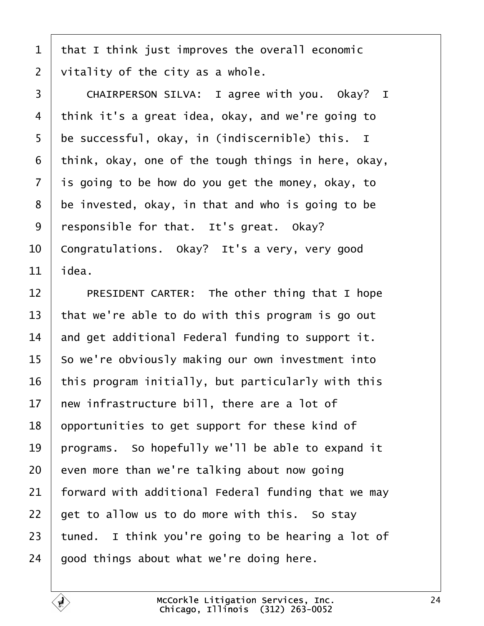<span id="page-23-0"></span> that I think just improves the overall economic  $\vert$  vitality of the city as a whole.

3 CHAIRPERSON SILVA: I agree with you. Okay? I 4 | think it's a great idea, okay, and we're going to be successful, okay, in (indiscernible) this. I think, okay, one of the tough things in here, okay, is going to be how do you get the money, okay, to be invested, okay, in that and who is going to be 9 | responsible for that. It's great. Okay? 10 Congratulations. Okay? It's a very, very good  $\vert$  idea.

**PRESIDENT CARTER:** The other thing that I hope  $\vert$  that we're able to do with this program is go out  $\parallel$  and get additional Federal funding to support it. so we're obviously making our own investment into | this program initially, but particularly with this  $\vert$  new infrastructure bill, there are a lot of | opportunities to get support for these kind of  $\vert$  programs. So hopefully we'll be able to expand it even more than we're talking about now going forward with additional Federal funding that we may get to allow us to do more with this. So stay 23 | tuned. I think you're going to be hearing a lot of good things about what we're doing here.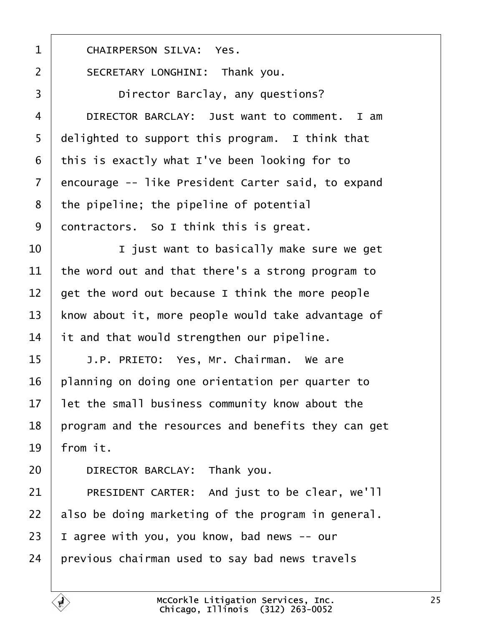<span id="page-24-0"></span>1 | CHAIRPERSON SILVA: Yes.

2 | SECRETARY LONGHINI: Thank you.

3 Director Barclay, any questions? 4 DIRECTOR BARCLAY: Just want to comment. I am  $5$  delighted to support this program. I think that  $6$  this is exactly what I've been looking for to 7 encourage -- like President Carter said, to expand  $8$  | the pipeline; the pipeline of potential  $9$  contractors. So I think this is great.

  $\begin{array}{ccc} \end{array}$   $\begin{array}{ccc} \end{array}$   $\begin{array}{ccc} \end{array}$   $\begin{array}{ccc} \end{array}$   $\begin{array}{ccc} \end{array}$   $\begin{array}{ccc} \end{array}$   $\begin{array}{ccc} \end{array}$   $\begin{array}{ccc} \end{array}$   $\begin{array}{ccc} \end{array}$   $\begin{array}{ccc} \end{array}$   $\begin{array}{ccc} \end{array}$   $\begin{array}{ccc} \end{array}$   $\begin{array}{ccc} \end{array}$   $\begin{array}{ccc} \end{array}$   $\begin{array}{$  $\vert$  the word out and that there's a strong program to  $\vert$  get the word out because I think the more people 13 | know about it, more people would take advantage of it and that would strengthen our pipeline.

15 | J.P. PRIETO: Yes, Mr. Chairman. We are | planning on doing one orientation per quarter to let the small business community know about the | program and the resources and benefits they can get | from it.

20 DIRECTOR BARCLAY: Thank you.

21 PRESIDENT CARTER: And just to be clear, we'll also be doing marketing of the program in general. | I agree with you, you know, bad news  $-$ - our previous chairman used to say bad news travels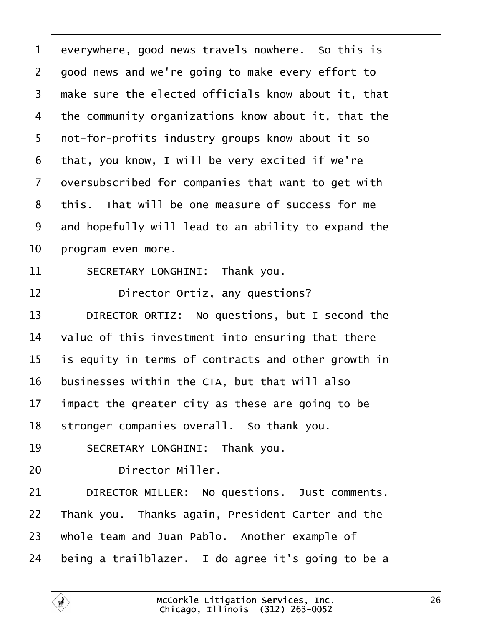<span id="page-25-0"></span> everywhere, good news travels nowhere. So this is  $2 \mid$  good news and we're going to make every effort to  $\mid$  make sure the elected officials know about it, that the community organizations know about it, that the 5 | not-for-profits industry groups know about it so that, you know, I will be very excited if we're oversubscribed for companies that want to get with 8 this. That will be one measure of success for me and hopefully will lead to an ability to expand the | program even more.

 $11$  SECRETARY LONGHINI: Thank you.

12 **I Director Ortiz, any questions?** 

13 | DIRECTOR ORTIZ: No questions, but I second the  $\vert$  value of this investment into ensuring that there is equity in terms of contracts and other growth in businesses within the CTA, but that will also impact the greater city as these are going to be stronger companies overall. So thank you.

19 SECRETARY LONGHINI: Thank you.

20 **Director Miller.** 

21 DIRECTOR MILLER: No questions. Just comments. 22 Thank you. Thanks again, President Carter and the 23 | whole team and Juan Pablo. Another example of 24 being a trailblazer. I do agree it's going to be a

> McCorkle Litigation Services, Inc. Chicago, Illinois· (312) 263-0052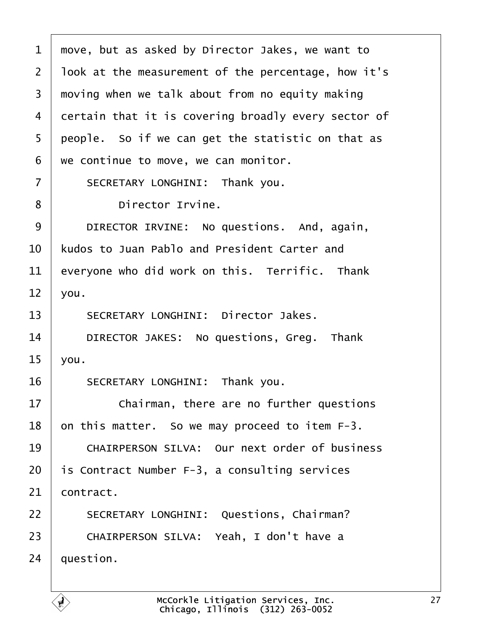<span id="page-26-0"></span> $1$   $\mid$  move, but as asked by Director Jakes, we want to 2 | look at the measurement of the percentage, how it's  $3$  moving when we talk about from no equity making 4 certain that it is covering broadly every sector of  $5$  people. So if we can get the statistic on that as  $6$  we continue to move, we can monitor. 7 | SECRETARY LONGHINI: Thank you. 8 **birector Irvine.** 9 DIRECTOR IRVINE: No questions, And, again,  $10<sup>1</sup>$  kudos to Juan Pablo and President Carter and  $11$  everyone who did work on this. Terrific. Thank  $12$  you. 13 SECRETARY LONGHINI: Director Jakes. 14 DIRECTOR JAKES: No questions, Greg. Thank  $15$  you. 16 SECRETARY LONGHINI: Thank you. 17 **If the Studing External** chairman, there are no further questions  $18$  | on this matter. So we may proceed to item F-3. 19 CHAIRPERSON SILVA: Our next order of business 20  $\vert$  is Contract Number F-3, a consulting services  $21$  contract. 22 SECRETARY LONGHINI: Questions, Chairman? 23 | CHAIRPERSON SILVA: Yeah, I don't have a  $24$  auestion.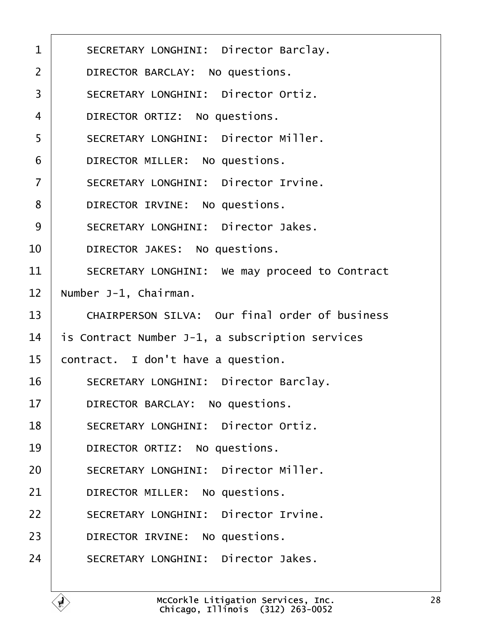<span id="page-27-0"></span>

| $\mathbf{1}$   | SECRETARY LONGHINI: Director Barclay.           |
|----------------|-------------------------------------------------|
| $\overline{2}$ | DIRECTOR BARCLAY: No questions.                 |
| 3              | SECRETARY LONGHINI: Director Ortiz.             |
| $\overline{4}$ | DIRECTOR ORTIZ: No questions.                   |
| 5              | SECRETARY LONGHINI: Director Miller.            |
| 6              | DIRECTOR MILLER: No questions.                  |
| $\overline{7}$ | SECRETARY LONGHINI: Director Irvine.            |
| 8              | DIRECTOR IRVINE: No questions.                  |
| 9              | SECRETARY LONGHINI: Director Jakes.             |
| 10             | DIRECTOR JAKES: No questions.                   |
| 11             | SECRETARY LONGHINI: We may proceed to Contract  |
| 12             | Number J-1, Chairman.                           |
| 13             | CHAIRPERSON SILVA: Our final order of business  |
| 14             | is Contract Number J-1, a subscription services |
| 15             | contract. I don't have a question.              |
| 16             | SECRETARY LONGHINI: Director Barclay.           |
| 17             | DIRECTOR BARCLAY: No questions.                 |
| 18             | SECRETARY LONGHINI: Director Ortiz.             |
| 19             | DIRECTOR ORTIZ: No questions.                   |
| 20             | SECRETARY LONGHINI: Director Miller.            |
| 21             | DIRECTOR MILLER: No questions.                  |
| 22             | SECRETARY LONGHINI: Director Irvine.            |
| 23             | DIRECTOR IRVINE: No questions.                  |
| 24             | SECRETARY LONGHINI: Director Jakes.             |
|                |                                                 |

ſ.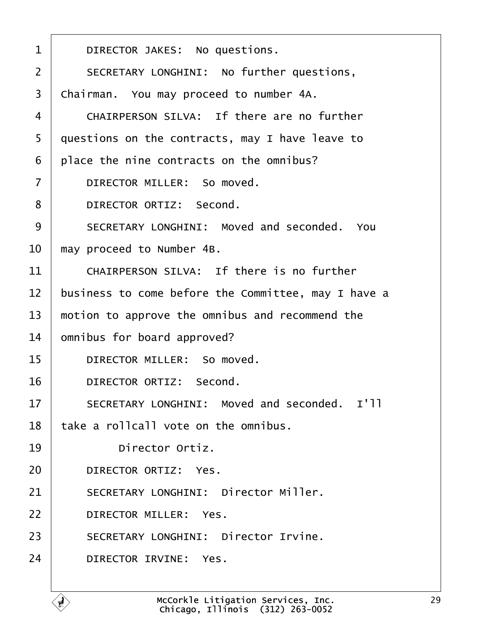<span id="page-28-0"></span>

| $\mathbf 1$    | DIRECTOR JAKES: No questions.                       |
|----------------|-----------------------------------------------------|
| $\overline{2}$ | SECRETARY LONGHINI: No further questions,           |
| 3              | Chairman. You may proceed to number 4A.             |
| $\overline{4}$ | CHAIRPERSON SILVA: If there are no further          |
| 5              | questions on the contracts, may I have leave to     |
| 6              | place the nine contracts on the omnibus?            |
| $\overline{7}$ | DIRECTOR MILLER: So moved.                          |
| 8              | DIRECTOR ORTIZ: Second.                             |
| 9              | SECRETARY LONGHINI: Moved and seconded. You         |
| 10             | may proceed to Number 4B.                           |
| 11             | CHAIRPERSON SILVA: If there is no further           |
| 12             | business to come before the Committee, may I have a |
| 13             | motion to approve the omnibus and recommend the     |
| 14             | omnibus for board approved?                         |
| 15             | DIRECTOR MILLER: So moved.                          |
| 16             | DIRECTOR ORTIZ: Second.                             |
| 17             | SECRETARY LONGHINI: Moved and seconded. I'll        |
| 18             | take a rollcall vote on the omnibus.                |
| 19             | Director Ortiz.                                     |
| 20             | DIRECTOR ORTIZ: Yes.                                |
| 21             | SECRETARY LONGHINI: Director Miller.                |
| 22             | DIRECTOR MILLER: Yes.                               |
| 23             | SECRETARY LONGHINI: Director Irvine.                |
| 24             | DIRECTOR IRVINE: Yes.                               |
|                |                                                     |

f.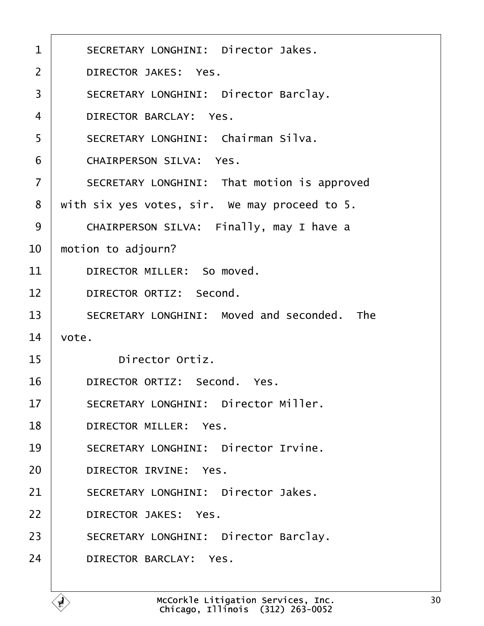<span id="page-29-0"></span>

| $\mathbf{1}$   | SECRETARY LONGHINI: Director Jakes.           |
|----------------|-----------------------------------------------|
| $\overline{2}$ | DIRECTOR JAKES: Yes.                          |
| 3              | SECRETARY LONGHINI: Director Barclay.         |
| $\overline{4}$ | DIRECTOR BARCLAY: Yes.                        |
| 5              | SECRETARY LONGHINI: Chairman Silva.           |
| 6              | CHAIRPERSON SILVA: Yes.                       |
| $\overline{7}$ | SECRETARY LONGHINI: That motion is approved   |
| 8              | with six yes votes, sir. We may proceed to 5. |
| 9              | CHAIRPERSON SILVA: Finally, may I have a      |
| 10             | motion to adjourn?                            |
| 11             | DIRECTOR MILLER: So moved.                    |
| 12             | DIRECTOR ORTIZ: Second.                       |
| 13             | SECRETARY LONGHINI: Moved and seconded. The   |
| 14             | vote.                                         |
| 15             | Director Ortiz.                               |
| 16             | DIRECTOR ORTIZ: Second. Yes.                  |
| 17             | SECRETARY LONGHINI: Director Miller.          |
| 18             | DIRECTOR MILLER: Yes.                         |
| 19             | SECRETARY LONGHINI: Director Irvine.          |
| 20             | DIRECTOR IRVINE: Yes.                         |
| 21             | SECRETARY LONGHINI: Director Jakes.           |
| 22             | DIRECTOR JAKES: Yes.                          |
| 23             | SECRETARY LONGHINI: Director Barclay.         |
| 24             | DIRECTOR BARCLAY: Yes.                        |
|                |                                               |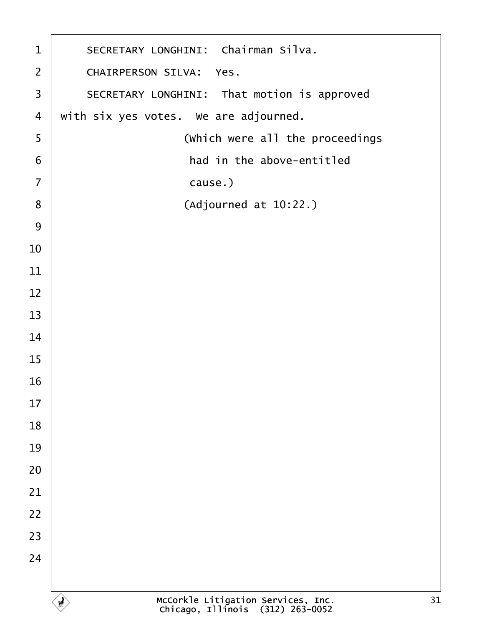<span id="page-30-0"></span>

| $\mathbf{1}$   | SECRETARY LONGHINI: Chairman Silva.                                          |  |  |  |
|----------------|------------------------------------------------------------------------------|--|--|--|
| $\overline{2}$ | CHAIRPERSON SILVA: Yes.                                                      |  |  |  |
| 3              | SECRETARY LONGHINI: That motion is approved                                  |  |  |  |
| $\overline{4}$ | with six yes votes. We are adjourned.                                        |  |  |  |
| 5              | (which were all the proceedings                                              |  |  |  |
| 6              | had in the above-entitled                                                    |  |  |  |
| $\overline{7}$ | cause.)                                                                      |  |  |  |
| 8              | (Adjourned at 10:22.)                                                        |  |  |  |
| 9              |                                                                              |  |  |  |
| 10             |                                                                              |  |  |  |
| 11             |                                                                              |  |  |  |
| 12             |                                                                              |  |  |  |
| 13             |                                                                              |  |  |  |
| 14             |                                                                              |  |  |  |
| 15             |                                                                              |  |  |  |
| 16             |                                                                              |  |  |  |
| 17             |                                                                              |  |  |  |
| 18             |                                                                              |  |  |  |
| 19             |                                                                              |  |  |  |
| 20             |                                                                              |  |  |  |
| 21             |                                                                              |  |  |  |
| 22             |                                                                              |  |  |  |
| 23             |                                                                              |  |  |  |
| 24             |                                                                              |  |  |  |
|                |                                                                              |  |  |  |
|                | McCorkle Litigation Services, Inc.<br>Chicago, Illinois (312) 263-0052<br>31 |  |  |  |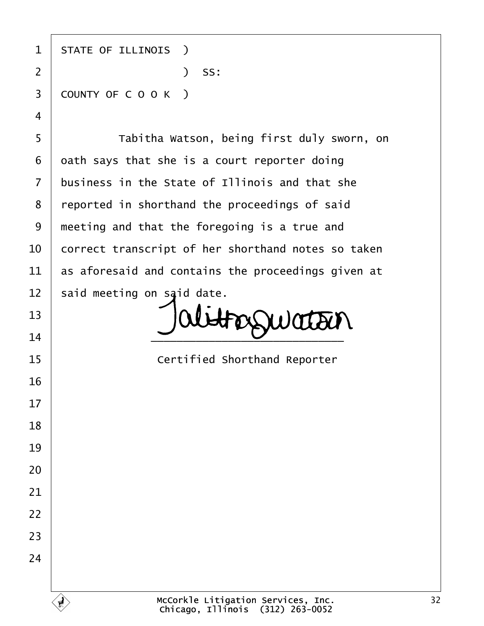1 | STATE OF ILLINOIS ) ·2· · · · · · · · · · · )· SS: 3 COUNTY OF C O O K ) 5 | Tabitha Watson, being first duly sworn, on oath says that she is a court reporter doing business in the State of Illinois and that she 8 | reported in shorthand the proceedings of said

 said meeting on said date. **alet** FOSSWOTTEN  $\overline{\phantom{a}14}$   $\overline{\phantom{a}14}$ 

**If the State of Certified Shorthand Reporter**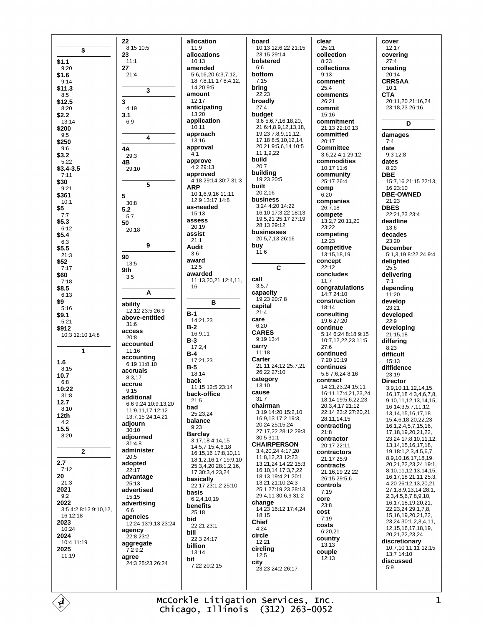|                       | 22<br>8:15 10:5            |
|-----------------------|----------------------------|
| \$                    | 23                         |
| \$1.1                 | 11:1                       |
| 9:20                  | 27                         |
| \$1.6                 | 21:4                       |
| 9:14<br>\$11.3        |                            |
| 8:5                   | 3                          |
| \$12.5                | 3                          |
| 8:20                  | 4:19                       |
| \$2.2                 | 3.1                        |
| 13:14                 | 6:9                        |
| \$200<br>9:5          | 4                          |
| \$250<br>9:6          | 4Α                         |
| \$3.2                 | 29:3                       |
| 5:22                  | 4Β                         |
| \$3.4-3.5<br>7:11     | 29:10                      |
| \$30<br>9:21          | 5                          |
| \$361                 | 5                          |
| 10:1                  | 30:8                       |
| \$5                   | 5.2                        |
| 7:7                   | 5:7                        |
| \$5.3                 | 50                         |
| 6:12<br>\$5.4         | 20:18                      |
| 6:3<br>\$5.5          | 9                          |
| 21:3                  | 90                         |
| \$52                  | 13:5                       |
| 7:17                  | 9th                        |
| \$60                  | 3:5                        |
| 7:18<br>\$8.5         |                            |
| 6:13<br>\$9           | Α                          |
| 5:16                  | ability                    |
| \$9.1                 | 12:12 23:5 26:9            |
| 5:21                  | above-entitled             |
| \$912                 | 31:6                       |
| 10:3 12:10 14:8       | access<br>20:8             |
| 1                     | accounted<br>11:16         |
| 1.6                   | accounting<br>6:19 11:8,10 |
| 8:15                  | accruals                   |
| 10.7                  | 8:3,17                     |
| 6:8                   | accrue                     |
| 10:22                 | 9:15                       |
| 31:8                  | additional                 |
| 12.7                  | 6:6 9:24 10:9,13,          |
| 8:10                  | 11:9,11,17 12:12           |
| 12th                  | 13:7,15 24:14,21           |
| 4:2                   | adjourn                    |
| 15.5                  | 30:10                      |
| 8:20                  | adjourned                  |
| 2                     | 31:4,8<br>administer       |
| 2.7                   | 20:5<br>adopted            |
| 7:12                  | 22:17                      |
| 20                    | advantage                  |
| 21:3                  | 25:13                      |
| 2021                  | advertised                 |
| 9:2                   | 15:15                      |
| 2022                  | advertising                |
| 3:5 4:2 8:12 9:10,12, | 6:6                        |
| 16 12:18              | agencies                   |
| 2023                  | 12:24 13:9,13 23           |
| 10:24                 | agency                     |
| 2024                  | 22:8 23:2                  |
| 10:4 11:19            | aggregate                  |
| 2025                  | 7:2 9:2                    |
| 11:19                 | agree                      |
|                       | 24:3 25:23 26:24           |
|                       |                            |

allocation  $11:9$ allocations  $10.13$ amended 5:6,16,20 6:3,7,12, 18 7:8,11,17 8:4,12, 14,209:5 amount  $12:17$ anticipating 13:20 application  $10:11$ approach  $13:16$ approval  $4:1$ approve 4:2 29:13 approved 4:18 29:14 30:7 31:3 **ARP** 10:1,6,9,16 11:11 12:9 13:17 14:8 as-needed  $15:13$ assess  $20.19$ assist  $21:1$ **Audit**  $3.6$ award  $12:5$ awarded 11:13.20.21 12:4.11. 16 B  $B-1$ 14:21.23  $B-2$ 16:9,11  $B-3$  $17.24$  $B-4$ 17:21,23  $B-5$ 18:14 back 11:15 12:5 23:14 back-office  $21:5$ 9:24 10:9.13.20 bad 25:23.24 balance  $9:23$ **Barclay** 3:17,18 4:14,15 14:5,7 15:4,6,18 16:15,16 17:8,10,11 18:1 2 16 17 19:9 10 25:3,4,20 28:1,2,16, 17 30:3.4.23.24 basically 22:17 23:1,2 25:10 basis  $6:2,4,10,19$ **benefits**  $25:18$ bid 24 13:9,13 23:24 22:21 23:1 bill 22:3 24:17 hillion 13:14 bit 7:22 20:2,15

board 10:13 12:6,22 21:15 23:15 29:14 bolstered  $6:6$ bottom  $7:15$ bring  $22:23$ broadly  $27.4$ budget 3:6 5:6,7,16,18,20, 21 6:4,8,9,12,13,18, 19,23 7:8,9,11,12, 17,18 8:5,10,12,14, 20,21 9:5,6,14 10:5  $11:1,9,22$ build  $20:7$ building 19:23 20:5 built  $20:2.16$ **business** 3:24 4:20 14:22 16:10 17:3,22 18:13 19:5,21 25:17 27:19 28:13 29:12 businesses 20:5.7.13.26:16 buy  $11:6$  $\mathbf c$ call  $3:5,7$ capacity 19:23 20:7.8 capital  $21:4$ care  $6:20$ **CARES**  $9.19134$ carry  $11:18$ Carter 21:11 24:12 25:7,21  $26:22.27:10$ category  $13:10$ cause  $31.7$ chairman 3:19 14:20 15:2,10 16:9.13 17:2 19:3. 20 24 25 15 24 27:17.22 28:12 29:3  $30:5.\overline{31:1}$ **CHAIRPERSON** 3:4,20,24 4:17,20 11:8,12,23 12:23 13:21.24 14:22 15:3 16:10,14 17:3,7,22 18:13 19:4 21 20:1 13 21 21 10 24 3 25:1 27:19 23 28:13 29:4.11 30:6,9 31:2 change 14:23 16:12 17:4,24 18:15 Chief  $4.24$ circle  $12:21$ circling  $12:5$ city 23:23 24:2 26:17

clear 25:21 collection  $8.23$ collections  $9.13$ comment  $25:4$ comments  $26.21$ commit 15:16 commitment 21:13 22:10,13 committed 20:17 **Committee** 3:6,22 4:1 29:12 commodities 10:17 11:6 community 25:17 26:4 comp  $6:20$ companies  $26.718$ compete 13:2,7 20:11,20 23:22 competing  $12:23$ competitive 13:15,18,19 concept  $22:12$ concludes  $11.7$ congratulations 14:7 24:10 construction  $18.14$ consulting 19:6 27:20 continue 5:14 6:24 8:18 9:15 10:7,12,22,23 11:5  $27:6$ continued  $7.2010.19$ continues 5:8 7:6,24 8:16 contract 14:21 23 24 15:11 16:11 17:4.21.23.24 18:14 19:5,6,22,23 20:3.4.17 21:12 22:14 23:2 27:20.21 28:11.14.15 contracting  $21:8$ contractor  $20.1722.11$ contractors 21:17 25:9 contracts 21:16,19 22:22 26:15 29:5.6 controls  $7.19$ core  $23:8$ cost  $7.19$ costs  $6:20.21$ country  $13:13$ couple  $12.13$ 

cover  $12:17$ coverina  $27.4$ creating  $20:14$ **CRRSAA**  $10:1$ **CTA** 20:11 20 21:16 24 23:18.23 26:16 D damages  $7:4$ date  $9:3$  12:8 dates  $8.23$ **DBE** 15:7,16 21:15 22:13, 16 23:10 **DBE-OWNED**  $21.23$ **DBES**  $22.212323.4$ deadline 13:6 decades  $23.20$ December 5:1,3,19 8:22,24 9:4 delighted  $25.5$ delivering  $7:1$ depending  $11:20$ develop  $23:21$ developed  $22:9$ developina  $21:15.18$ differing  $8.23$ difficult 15:13 diffidence  $23.19$ **Director** 3:9,10,11,12,14,15, 16,17,18 4:3,4,6,7,8, 9, 10, 11, 12, 13, 14, 15, 16 14:3,5,7,11,12, 13, 14, 15, 16, 17, 18 15:4,6,18,20,22,23 16:1,2,4,5,7,15,16, 17.18.19.20.21.22. 23.24 17:8.10.11.12. 13.14.15.16.17.18. 19181234567 8.9.10.16.17.18.19. 20,21,22,23,24 19:1, 8.10.11.12.13.14.15. 16 17 18 21:11 25:3 4,20 26:12,13,20,21 27:1,8,9,13,14 28:1, 2, 3, 4, 5, 6, 7, 8, 9, 10, 16, 17, 18, 19, 20, 21, 22, 23, 24 29: 1, 7, 8, 15, 16, 19, 20, 21, 22, 23,24 30:1,2,3,4,11, 12, 15, 16, 17, 18, 19, 20,21,22,23,24 discretionary 10:7,10 11:11 12:15  $13.714.10$ discussed  $5.9$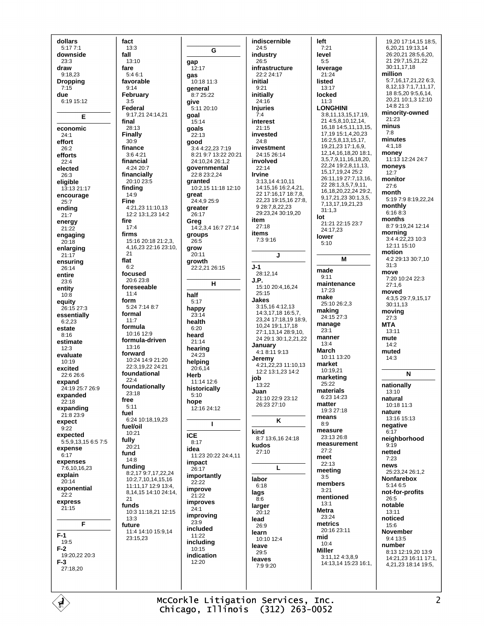dollars  $5:177:1$ downside  $23.3$ draw  $9.1823$ **Dropping**  $7:15$ due  $6.1915.12$ E economic  $24:1$ effort 26:2 efforts  $22.4$ elected  $26:3$ eligible 13:13 21:17 encourage  $25:7$ ending  $21:7$ energy  $21.22$ engaging  $20:18$ enlarging  $21:17$ ensuring  $26.14$ entire  $23:6$ entity  $10.8$ equity 26:15 27:3 essentially  $6:2,23$ estate  $8:16$ estimate  $12:3$ evaluate  $10:19$ excited 22:6 26:6 expand 24:19 25:7 26:9 expanded  $22.18$ expanding 21:8 23:9 expect  $9:22$ expected  $5.5913156575$ expense  $6.17$ expenses 7:6.10.16.23 explain  $20:14$ exponential  $22.2$ express  $21.15$ F  $F-1$ 19:5  $F-2$ 19:20,22 20:3  $F-3$ 27:18.20

fact  $13:3$ fall  $13:10$ fare  $5.46.1$ favorable  $9:14$ February  $3.5$ Federal 9:17,21 24:14,21 final 28:13 **Finally**  $30:9$ finance 3:64:21 financial 4:24 20:7 financially 20:10 23:5 finding  $14:9$ **Fine**  $4.21$  23 11:10 13 12:2 13:1.23 14:2 fire  $17:4$ firms 15:16 20:18 21:2.3. 4,16,23 22:16 23:10,  $21$ flat  $6:2$ focused 20:6 23:8 foreseeable  $11:4$ form 5:24 7:14 8:7 formal  $11:7$ formula  $10.1612.9$ formula-driven  $13:16$ forward 10:24 14:9 21:20 22:3 19 22 24:21 foundational  $22:4$ foundationally  $23.18$ free  $5.11$ fuel 6:24 10:18,19,23 fuel/oil  $10.21$ fully  $20:21$ fund  $14.8$ funding 8:2,17 9:7,17,22,24 10:2.7.10.14.15.16 11:11, 17 12:9 13:4, 8,14,15 14:10 24:14,  $21$ funds 10:3 11:18.21 12:15  $13:3$ future 11:4 14:10 15:9.14 23:15,23

gap

gas

give

goal

 $15.14$ 

 $22:13$ 

goals

good

great

greater

 $26.17$ 

groups

 $26.5$ 

 $20:11$ 

growth

grow

half

 $5:17$ 

happy

 $23:14$ 

health

 $6:20$ 

heard

 $21:14$ 

hearing

24:23

helping

Herb

 $5:10$ 

hope

**ICE** 

idea

 $8.17$ 

impact

 $26.17$ 

 $22.22$ 

 $21.22$ 

 $24:1$ 

 $23:9$ 

 $11:22$ 

 $10:15$ 

 $12:20$ 

 $20.614$ 

Greg

12:17

general

 $24:5$ G  $26:5$  $10:18$  11:3 initial  $9:21$ initially  $8:725.22$  $24.16$ 5:11 20:10 **Injuries**  $7:4$ interest  $21:15$  $24:8$ 3:4 4:22,23 7:19 8:21 9:7 13:22 20:21 24:10,24 26:1,2 governmental  $22:14$ 22:8 23:2.24 Irvine granted 10:2,15 11:18 12:10 24.4925.9 item  $27:18$ 14:2,3,4 16:7 27:14 items  $J-1$ 22:2.21 26:15  $J.P.$  $\mathbf{H}$  $25.15$ **Jakes** job 11:14 12:6  $13.22$ historically Juan  $12.1624.12$  $\mathbf{I}$ kind kudos  $27:10$ 11:23 20:22 24:4.11 importantly labor  $6:18$ improve lags  $\overline{R}$ 6 improves larger  $20.12$ improving lead  $26:9$ included learn including leave  $29.5$ indication leaves

indiscernible industry infrastructure  $22.224.17$ heteavni investment 24:15 26:14 involved 3:13,14 4:10,11 14:15,16 16:2,4,21, 22 17:16,17 18:7,8, 22,23 19:15,16 27:8, 9 28:7.8.22.23 29:23,24 30:19,20 7:3 9:16  $\mathbf{I}$ 28:12,14  $15:1020:4.16.24$ 3:15,16 4:12,13 14:3,17,18 16:5,7 23,24 17:18,19 18:9, 10,24 19:1,17,18 27:1.13.14 28:9.10. 24 29:1 30:1,2,21,22 January 4:1 8:11 9:13 Jeremy<br>4:21,22,23 11:10,13 12:2 13:1,23 14:2 21:10 22:9 23:12 26:23 27:10 K 8:7 13:6,16 24:18 L  $10.1012.4$ 7:9 9:20

left  $7:21$ level  $5.5$ leverage 21:24 listed 13:17 locked  $11:3$ **LONGHINI** 3:8,11,13,15,17,19, 21 4:5,8,10,12,14, 16, 18 14: 5, 11, 13, 15, 17,19 15:1,4,20,23 16:2,5,8,13,15,17, 19,21,23 17:1,6,9, 12, 14, 16, 18, 20 18:1, 3.5.7.9.11.16.18.20. 22.24 19:2.8.11.13. 15.17.19.24 25:2 26.11.19.27.7.13.16 22 28:1.3.5.7.9.11. 16, 18, 20, 22, 24 29: 2. 9, 17, 21, 23 30: 1, 3, 5, 7.13.17.19.21.23  $31:1.3$ lot 21:21 22:15 23:7 24:17,23 lower  $5:10$ M made  $9:11$ maintenance  $17.23$ make  $25:1026.23$ making<br>24:15 27:3 manage  $23.1$ manner  $13.4$ **March** 10:11 13:20 market  $10.1921$ marketing 25:22 materials 6:23 14:23 matter 19:3 27:18 means  $8:9$ measure 23:13.26:8 measurement  $27.2$ meet  $22:13$ meeting  $3.5$ members  $3:21$ mentioned  $13.1$ **Metra** 23:24 metrics 20:16 23:11 mid  $10<sup>4</sup>$ **Miller** 3:11,12 4:3,8,9 14:13,14 15:23 16:1,

19.20 17:14.15 18:5. 6,20,21 19:13,14 26:20.21 28:5.6.20. 21 29:7,15,21,22 30:11,17,18 million 5.7 16 17 21 22 6:3 8,12,137:1,7,11,17, 18 8:5,20 9:5,6,14, 20.21 10:1.3 12:10  $14.821.3$ minority-owned 21:23 minus  $7.8$ minutes  $4:1,18$ money 11:13 12:24 24:7 moneys  $12.7$ monitor  $27.6$ month  $5:197:98:19.22.24$ monthly  $6:168:3$ months 8:7 9:19,24 12:14 morning 3:4 4:22,23 10:3 12:11 15:10 motion 4:2 29:13 30:7,10  $31.3$ move  $7:20$  10:24 22:3  $27.16$ moved 4:3,5 29:7,9,15,17 30:11,13 movina  $27.3$ **MTA**  $13.11$ mute  $14:2$ muted  $14.3$ N nationally  $13:10$ natural 10:18 11:3 nature  $13:16$   $15:13$ negative  $6:17$ neighborhood  $9:19$ netted  $7.23$ news 25:23.24 26:1.2 **Nonfarebox**  $5.1465$ not-for-profits  $26.5$ notable  $13.11$ noticed  $15.6$ November  $9:413:5$ number  $8:13$  12:19.20 13:9 14:21.23 16:11 17:1. 4,21,23 18:14 19:5,

McCorkle Litigation Services, Inc. Chicago, Illinois (312) 263-0052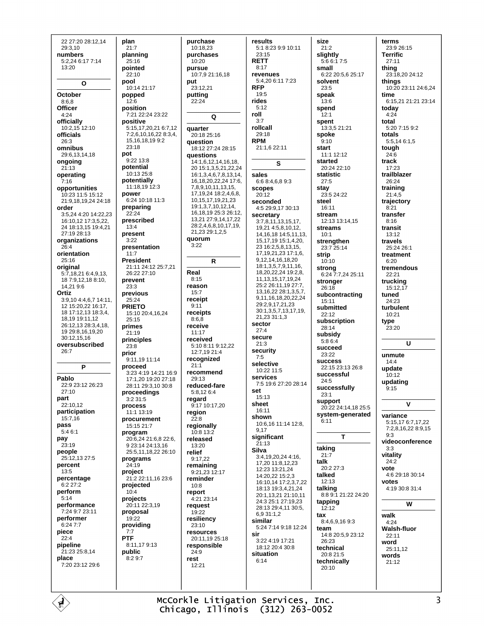22 27:20 28:12.14 29:3.10 numbers 5:2.24 6:17 7:14 13:20  $\mathbf{o}$ October  $8:6,8$ Officer  $4:24$ officially 10:2.15 12:10 officials  $26.3$ omnibus 29:6,13,14,18 ongoing  $21.13$ operating  $7:16$ opportunities  $10.2311.515.12$ 21:9 18 19 24 24:18 order 3:5,24 4:20 14:22,23 16:10,12 17:3,5,22, 24 18:13,15 19:4,21 27:19 28:13 organizations  $26.4$ orientation 25:16 original 5:7,18,21 6:4,9,13, 18 7:9,12,18 8:10, 14.21 9:6 Ortiz 3:9,10 4:4,6,7 14:11, 12 15:20,22 16:17, 18 17:12,13 18:3,4, 18.19 19:11.12 26:12,13 28:3,4,18, 19 29:8.16.19.20 30:12.15.16 oversubscribed  $26.7$ P Pablo 22:9.23:12.26:23  $27.10$ part 22:10,12 participation  $15.716$ pass  $5:46:1$ pay  $23:19$ people  $25.12$  13 27.5 percent  $13:5$ percentage  $6:227:2$ perform  $5.14$ performance 7:24 9:7 23:11 performer  $6.247.7$ piece  $22:4$ pipeline 21:23 25:8,14 place 7:20 23:12 29:6

É

plan  $21:7$ planning  $25.16$ pointed  $22.10$ pool 10:14 21:17 popped  $12.6$ position 7:21 22:24 23:22 nositive 5:15,17,20,21 6:7,12  $7.26101622834$ 15.16,18,199:2  $23.18$ pot 9:22 13:8 potential 10:13 25:8 potentially 11:18,19 12:3 power 6:24 10:18 11:3 preparing  $22.24$ prescribed  $13.4$ present  $3.22$ presentation  $11.7$ **President** 21:11 24:12 25:7,21 26:22 27:10 prevent  $23:3$ previous  $25.24$ **PRIETO** 15:10 20:4,16,24  $25:15$ primes  $21.19$ principles  $23:8$ prior  $9.11$  19 11 14 proceed 3:23 4:19 14:21 16:9 17:1.20 19:20 27:18 28:11 29:3,10 30:8 proceedings  $3:231:5$ process  $11.113.19$ procurement 15:15 21:7 program 20:6.24 21:6.8 22:6. 9 23:14 24:13 16 25:5,11,18,22 26:10 programs 24:19 project 21:2 22:11.16 23:6 projected  $10^{14}$ projects 20:11 22:3,19 proposal  $19.22$ providing  $7:7$ **PTF** 8:11,179:13 public  $8.29.7$ 

purchase 10:18.23 purchases  $10.20$ pursue 10:7.9 21:16.18 put 23:12,21 putting  $22.24$  $\Omega$ quarter 20:18 25:16 question 18:12 27:24 28:15 questions 14:1,6,12,14,16.18. 20 15:1,3,5,21,22,24 16:1,3,4,6,7,8,13,14, 16, 18, 20, 22, 24 17: 6, 7,8,9,10,11,13,15, 17, 19, 24 18: 2, 4, 6, 8, 10, 15, 17, 19, 21, 23 19:1,3,7,10,12,14, 16, 18, 19 25: 3 26: 12, 13,21 27:9,14,17,22 28:2,4,6,8,10,17,19, 21,23 29:1,2,5 duorum  $3.22$  $\overline{R}$ Real  $8:15$ reason  $15:7$ receipt  $Q·11$ receipts  $8:6.8$ receive  $11:17$ received 5:10 8:11 9:12.22 12:7,19 21:4 recognized  $21:1$ recommend 29:13 reduced-fare 5:8,126:4 regard 9:17 10:17,20 region  $22:8$ regionally 10:8 13:2 released  $13.20$ relief  $9:17,22$ remaining 9:21.23 12:17 reminder  $10.8$ report 4:21 23:14 request  $19.22$ resiliency  $23:10$ resources 20:11,19 25:18 responsible  $24.9$ rest 12:21

results 5:1 8:23 9:9 10:11  $23:15$ **RETT**  $8:17$ revenues 5:4,20 6:11 7:23 **RFP**  $19:5$ rides  $5.12$ roll  $3:7$ rollcall  $29.18$ **RPM** 21:1,6 22:11 S. sales 6:6 8:4,6,8 9:3 scopes  $20:12$ seconded 4:5 29:9,17 30:13 secretary  $3:7,8,11,13,15,17,$ 19,21 4:5,8,10,12, 14.16.18 14:5.11.13. 15, 17, 19 15: 1, 4, 20, 23 16 2 5 8 13 15 17.19.21.23 17:1.6. 9, 12, 14, 16, 18, 20 18:1.3.5.7.9.11.16. 18 20 22 24 19 2 8 11, 13, 15, 17, 19, 24 25:2 26:11,19 27:7, 13, 16, 22 28: 1, 3, 5, 7, 9,11,16,18,20,22,24 29:2,9,17,21,23 30:1,3,5,7,13,17,19, 21.23 31:1.3 sector  $27.4$ secure  $21:3$ security  $7:5$ selective  $10.2211.5$ services 7:5 19:6 27:20 28:14 set  $15:13$ sheet 16:11 shown 10:6.16 11:14 12:8. 9,17 significant  $21.13$ **Silva** 3:4,19,20,24 4:16, 17,20 11:8,12,23 12:23 13:21,24 14:20,22 15:2,3 16:10,14 17:2,3,7,22 18:13 19:3,4,21,24 20:1.13.21 21:10.11 24:3 25:1 27:19,23  $28:1329:4.1130:5$ 693112 similar 5:24 7:14 9:18 12:24 sir 3:22 4:19 17:21 18:12 20:4 30:8 situation  $6.14$ 

size  $21:2$ sliahtly  $5.6617.5$ small 6:22 20:5,6 25:17 solvent 23:5 speak  $13.6$ spend  $12:1$ spent 13:3,5 21:21 spoke  $9:10$ start 11:1 12:12 started 20:24 22:10 statistic  $27.5$ stay 23:5 24:22 steel  $16.11$ stream 12:13 13:14.15 **streams**  $10.1$ strengthen  $23.725.14$ strin  $10:10$ strong<br>6:24 7:7.24 25:11 stronger  $26:18$ subcontracting  $15:11$ submitted  $22:12$ subscription 28:14 subsidy  $5.864$ succeed 23:22 **SUCCeSS** 22:15 23:13 26:8 successful  $24.5$ successfully  $23.1$ support 20:22 24:14.18 25:5 system-generated  $6:11$ T taking  $21:7$ talk 20:2 27:3 talked  $12:13$ talking<br>8:8 9:1 21:22 24:20 tapping  $12.12$ tax 8:4,6,9,169:3 team 14:8 20:5,9 23:12  $26:23$ technical  $20.821.5$ technically  $20.10$ 

terms 23:9 26:15 **Terrific**  $27.11$ thing 23:18,20 24:12 things 10:20 23:11 24:6,24 time 6:15 21 21:21 23:14 today  $4:24$ total 5:20 7:15 9:2 totals 5:5,14 6:1,5 tough  $24:6$ track  $17:23$ trailblazer 26:24 training  $21:4.5$ trajectory  $R \cdot 21$ transfer  $8:16$ transit  $13.12$ travels  $25.24.26.1$ treatment  $6:20$ tremendous  $22.21$ trucking  $15:12.17$ tuned  $24.23$ turbulent 10:21 type 23:20  $\overline{u}$ unmute  $14:4$ update  $10:12$ updating  $9:15$ V variance 5:15.17 6:7.17.22 7:2,8,16,22 8:9.15  $9.3$ videoconference  $3:3$ vitality  $24:2$ vote 4:6 29:18 30:14 votes 4:19 30:8 31:4  $\overline{\mathsf{w}}$ walk  $4:24$ **Walsh-fluor**  $22.11$ word 25:11,12 words  $21:12$ 

McCorkle Litigation Services, Inc. Chicago, Illinois (312) 263-0052